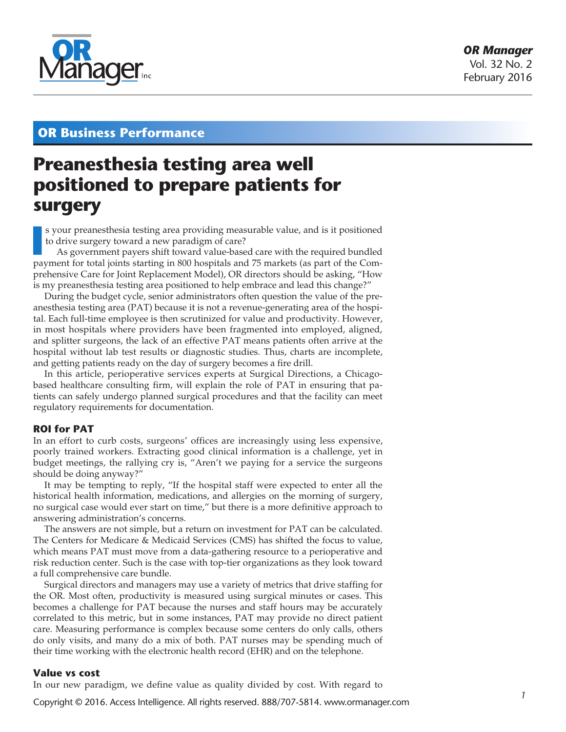

# **OR Business Performance**

# **Preanesthesia testing area well positioned to prepare patients for surgery**

**I** s your preanesthesia testing area providing measurable value, and is it positioned to drive surgery toward a new paradigm of care?<br>As government payers shift toward value-based care with the required bundled payment fo s your preanesthesia testing area providing measurable value, and is it positioned to drive surgery toward a new paradigm of care?

As government payers shift toward value-based care with the required bundled prehensive Care for Joint Replacement Model), OR directors should be asking, "How is my preanesthesia testing area positioned to help embrace and lead this change?"

During the budget cycle, senior administrators often question the value of the preanesthesia testing area (PAT) because it is not a revenue-generating area of the hospital. Each full-time employee is then scrutinized for value and productivity. However, in most hospitals where providers have been fragmented into employed, aligned, and splitter surgeons, the lack of an effective PAT means patients often arrive at the hospital without lab test results or diagnostic studies. Thus, charts are incomplete, and getting patients ready on the day of surgery becomes a fire drill.

In this article, perioperative services experts at Surgical Directions, a Chicagobased healthcare consulting firm, will explain the role of PAT in ensuring that patients can safely undergo planned surgical procedures and that the facility can meet regulatory requirements for documentation.

### **ROI for PAT**

In an effort to curb costs, surgeons' offices are increasingly using less expensive, poorly trained workers. Extracting good clinical information is a challenge, yet in budget meetings, the rallying cry is, "Aren't we paying for a service the surgeons should be doing anyway?"

It may be tempting to reply, "If the hospital staff were expected to enter all the historical health information, medications, and allergies on the morning of surgery, no surgical case would ever start on time," but there is a more definitive approach to answering administration's concerns.

The answers are not simple, but a return on investment for PAT can be calculated. The Centers for Medicare & Medicaid Services (CMS) has shifted the focus to value, which means PAT must move from a data-gathering resource to a perioperative and risk reduction center. Such is the case with top-tier organizations as they look toward a full comprehensive care bundle.

Surgical directors and managers may use a variety of metrics that drive staffing for the OR. Most often, productivity is measured using surgical minutes or cases. This becomes a challenge for PAT because the nurses and staff hours may be accurately correlated to this metric, but in some instances, PAT may provide no direct patient care. Measuring performance is complex because some centers do only calls, others do only visits, and many do a mix of both. PAT nurses may be spending much of their time working with the electronic health record (EHR) and on the telephone.

### **Value vs cost**

In our new paradigm, we define value as quality divided by cost. With regard to

Copyright © 2016. Access Intelligence. All rights reserved. 888/707-5814. www.ormanager.com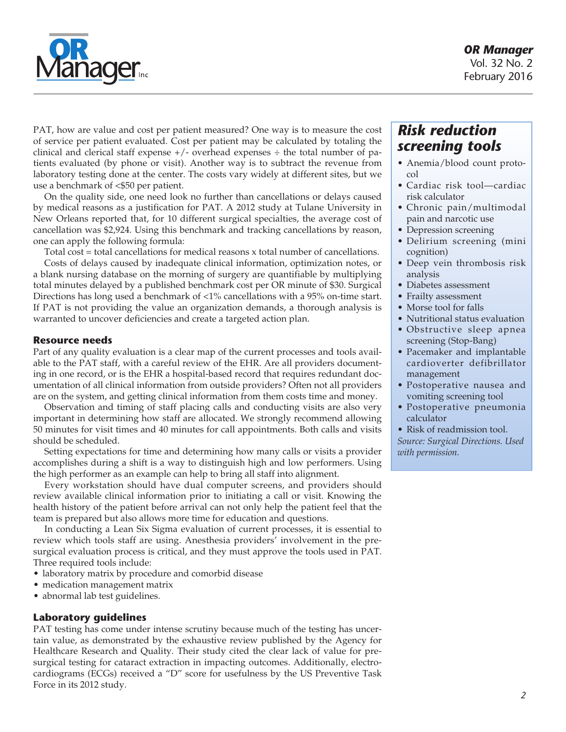

PAT, how are value and cost per patient measured? One way is to measure the cost of service per patient evaluated. Cost per patient may be calculated by totaling the clinical and clerical staff expense  $+/-$  overhead expenses  $\div$  the total number of patients evaluated (by phone or visit). Another way is to subtract the revenue from laboratory testing done at the center. The costs vary widely at different sites, but we use a benchmark of <\$50 per patient.

On the quality side, one need look no further than cancellations or delays caused by medical reasons as a justification for PAT. A 2012 study at Tulane University in New Orleans reported that, for 10 different surgical specialties, the average cost of cancellation was \$2,924. Using this benchmark and tracking cancellations by reason, one can apply the following formula:

Total cost = total cancellations for medical reasons x total number of cancellations.

Costs of delays caused by inadequate clinical information, optimization notes, or a blank nursing database on the morning of surgery are quantifiable by multiplying total minutes delayed by a published benchmark cost per OR minute of \$30. Surgical Directions has long used a benchmark of <1% cancellations with a 95% on-time start. If PAT is not providing the value an organization demands, a thorough analysis is warranted to uncover deficiencies and create a targeted action plan.

### **Resource needs**

Part of any quality evaluation is a clear map of the current processes and tools available to the PAT staff, with a careful review of the EHR. Are all providers documenting in one record, or is the EHR a hospital-based record that requires redundant documentation of all clinical information from outside providers? Often not all providers are on the system, and getting clinical information from them costs time and money.

Observation and timing of staff placing calls and conducting visits are also very important in determining how staff are allocated. We strongly recommend allowing 50 minutes for visit times and 40 minutes for call appointments. Both calls and visits should be scheduled.

Setting expectations for time and determining how many calls or visits a provider accomplishes during a shift is a way to distinguish high and low performers. Using the high performer as an example can help to bring all staff into alignment.

Every workstation should have dual computer screens, and providers should review available clinical information prior to initiating a call or visit. Knowing the health history of the patient before arrival can not only help the patient feel that the team is prepared but also allows more time for education and questions.

In conducting a Lean Six Sigma evaluation of current processes, it is essential to review which tools staff are using. Anesthesia providers' involvement in the presurgical evaluation process is critical, and they must approve the tools used in PAT. Three required tools include:

- • laboratory matrix by procedure and comorbid disease
- medication management matrix
- abnormal lab test guidelines.

### **Laboratory guidelines**

PAT testing has come under intense scrutiny because much of the testing has uncertain value, as demonstrated by the exhaustive review published by the Agency for Healthcare Research and Quality. Their study cited the clear lack of value for presurgical testing for cataract extraction in impacting outcomes. Additionally, electrocardiograms (ECGs) received a "D" score for usefulness by the US Preventive Task Force in its 2012 study.

# *Risk reduction screening tools*

- • Anemia/blood count protocol
- Cardiac risk tool—cardiac risk calculator
- • Chronic pain/multimodal pain and narcotic use
- Depression screening
- • Delirium screening (mini cognition)
- • Deep vein thrombosis risk analysis
- Diabetes assessment
- Frailty assessment
- Morse tool for falls
- Nutritional status evaluation
- • Obstructive sleep apnea screening (Stop-Bang)
- Pacemaker and implantable cardioverter defibrillator management
- • Postoperative nausea and vomiting screening tool
- • Postoperative pneumonia calculator
- Risk of readmission tool.

*Source: Surgical Directions. Used with permission.*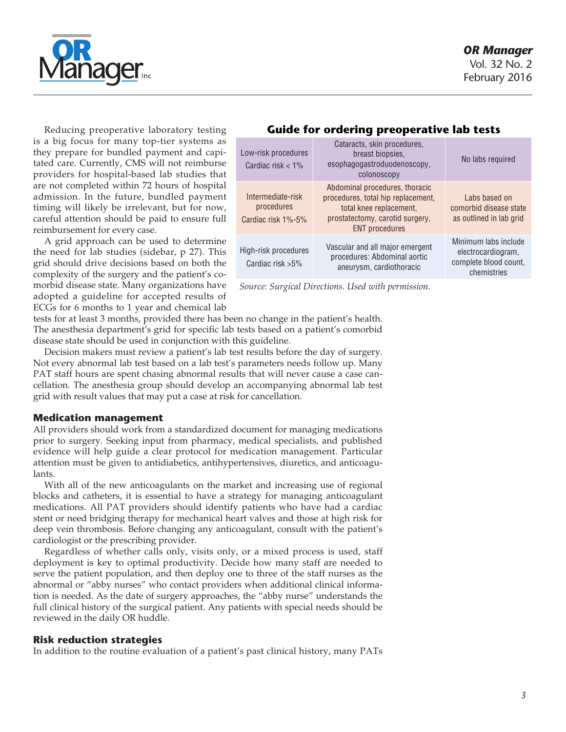

Reducing preoperative laboratory testing is a big focus for many top-tier systems as they prepare for bundled payment and capitated care. Currently, CMS will not reimburse providers for hospital-based lab studies that are not completed within 72 hours of hospital admission. In the future, bundled payment timing will likely be irrelevant, but for now, careful attention should be paid to ensure full reimbursement for every case.

A grid approach can be used to determine the need for lab studies (sidebar, p 27). This grid should drive decisions based on both the complexity of the surgery and the patient's comorbid disease state. Many organizations have adopted a guideline for accepted results of ECGs for 6 months to 1 year and chemical lab

## **Guide for ordering preoperative lab tests**

| Low-risk procedures<br>Cardiac risk $< 1\%$           | Cataracts, skin procedures,<br>breast biopsies,<br>esophagogastroduodenoscopy,<br>colonoscopy                                                               | No labs required                                                                   |
|-------------------------------------------------------|-------------------------------------------------------------------------------------------------------------------------------------------------------------|------------------------------------------------------------------------------------|
| Intermediate-risk<br>procedures<br>Cardiac risk 1%-5% | Abdominal procedures, thoracic<br>procedures, total hip replacement,<br>total knee replacement,<br>prostatectomy, carotid surgery,<br><b>ENT</b> procedures | Labs based on<br>comorbid disease state<br>as outlined in lab grid                 |
| High-risk procedures<br>Cardiac risk $>5\%$           | Vascular and all major emergent<br>procedures: Abdominal aortic<br>aneurysm, cardiothoracic                                                                 | Minimum labs include<br>electrocardiogram,<br>complete blood count,<br>chemistries |

*Source: Surgical Directions. Used with permission.*

tests for at least 3 months, provided there has been no change in the patient's health. The anesthesia department's grid for specific lab tests based on a patient's comorbid disease state should be used in conjunction with this guideline.

Decision makers must review a patient's lab test results before the day of surgery. Not every abnormal lab test based on a lab test's parameters needs follow up. Many PAT staff hours are spent chasing abnormal results that will never cause a case cancellation. The anesthesia group should develop an accompanying abnormal lab test grid with result values that may put a case at risk for cancellation.

### **Medication management**

All providers should work from a standardized document for managing medications prior to surgery. Seeking input from pharmacy, medical specialists, and published evidence will help guide a clear protocol for medication management. Particular attention must be given to antidiabetics, antihypertensives, diuretics, and anticoagulants.

With all of the new anticoagulants on the market and increasing use of regional blocks and catheters, it is essential to have a strategy for managing anticoagulant medications. All PAT providers should identify patients who have had a cardiac stent or need bridging therapy for mechanical heart valves and those at high risk for deep vein thrombosis. Before changing any anticoagulant, consult with the patient's cardiologist or the prescribing provider.

Regardless of whether calls only, visits only, or a mixed process is used, staff deployment is key to optimal productivity. Decide how many staff are needed to serve the patient population, and then deploy one to three of the staff nurses as the abnormal or "abby nurses" who contact providers when additional clinical information is needed. As the date of surgery approaches, the "abby nurse" understands the full clinical history of the surgical patient. Any patients with special needs should be reviewed in the daily OR huddle.

### **Risk reduction strategies**

In addition to the routine evaluation of a patient's past clinical history, many PATs